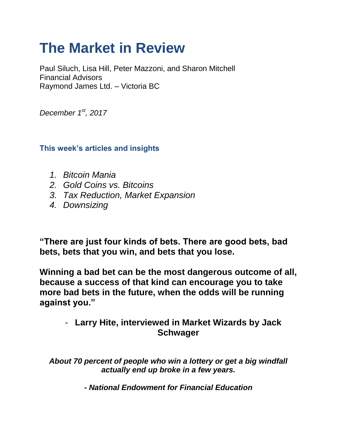# **The Market in Review**

Paul Siluch, Lisa Hill, Peter Mazzoni, and Sharon Mitchell Financial Advisors Raymond James Ltd. – Victoria BC

*December 1st, 2017*

**This week's articles and insights**

- *1. Bitcoin Mania*
- *2. Gold Coins vs. Bitcoins*
- *3. Tax Reduction, Market Expansion*
- *4. Downsizing*

**"There are just four kinds of bets. There are good bets, bad bets, bets that you win, and bets that you lose.** 

**Winning a bad bet can be the most dangerous outcome of all, because a success of that kind can encourage you to take more bad bets in the future, when the odds will be running against you."**

- **Larry Hite, interviewed in Market Wizards by Jack Schwager** 

*About 70 percent of people who win a lottery or get a big windfall actually end up broke in a few years.*

*- National Endowment for Financial Education*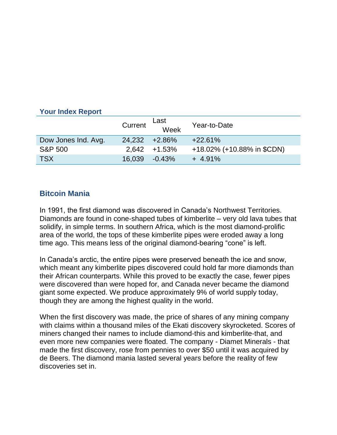# **Your Index Report**

|                     | Current          | Last<br>Week     | Year-to-Date               |
|---------------------|------------------|------------------|----------------------------|
| Dow Jones Ind. Avg. | 24.232 +2.86%    |                  | $+22.61%$                  |
| <b>S&amp;P 500</b>  |                  | $2.642 + 1.53\%$ | +18.02% (+10.88% in \$CDN) |
| <b>TSX</b>          | $16,039 -0.43\%$ |                  | $+4.91\%$                  |

# **Bitcoin Mania**

In 1991, the first diamond was discovered in Canada's Northwest Territories. Diamonds are found in cone-shaped tubes of kimberlite – very old lava tubes that solidify, in simple terms. In southern Africa, which is the most diamond-prolific area of the world, the tops of these kimberlite pipes were eroded away a long time ago. This means less of the original diamond-bearing "cone" is left.

In Canada's arctic, the entire pipes were preserved beneath the ice and snow, which meant any kimberlite pipes discovered could hold far more diamonds than their African counterparts. While this proved to be exactly the case, fewer pipes were discovered than were hoped for, and Canada never became the diamond giant some expected. We produce approximately 9% of world supply today, though they are among the highest quality in the world.

When the first discovery was made, the price of shares of any mining company with claims within a thousand miles of the Ekati discovery skyrocketed. Scores of miners changed their names to include diamond-this and kimberlite-that, and even more new companies were floated. The company - Diamet Minerals - that made the first discovery, rose from pennies to over \$50 until it was acquired by de Beers. The diamond mania lasted several years before the reality of few discoveries set in.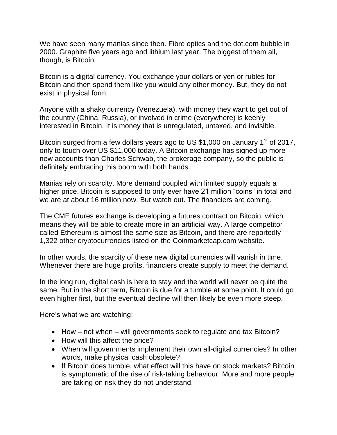We have seen many manias since then. Fibre optics and the dot.com bubble in 2000. Graphite five years ago and lithium last year. The biggest of them all, though, is Bitcoin.

Bitcoin is a digital currency. You exchange your dollars or yen or rubles for Bitcoin and then spend them like you would any other money. But, they do not exist in physical form.

Anyone with a shaky currency (Venezuela), with money they want to get out of the country (China, Russia), or involved in crime (everywhere) is keenly interested in Bitcoin. It is money that is unregulated, untaxed, and invisible.

Bitcoin surged from a few dollars years ago to US \$1,000 on January  $1<sup>st</sup>$  of 2017, only to touch over US \$11,000 today. A Bitcoin exchange has signed up more new accounts than Charles Schwab, the brokerage company, so the public is definitely embracing this boom with both hands.

Manias rely on scarcity. More demand coupled with limited supply equals a higher price. Bitcoin is supposed to only ever have 21 million "coins" in total and we are at about 16 million now. But watch out. The financiers are coming.

The CME futures exchange is developing a futures contract on Bitcoin, which means they will be able to create more in an artificial way. A large competitor called Ethereum is almost the same size as Bitcoin, and there are reportedly 1,322 other cryptocurrencies listed on the Coinmarketcap.com website.

In other words, the scarcity of these new digital currencies will vanish in time. Whenever there are huge profits, financiers create supply to meet the demand.

In the long run, digital cash is here to stay and the world will never be quite the same. But in the short term, Bitcoin is due for a tumble at some point. It could go even higher first, but the eventual decline will then likely be even more steep.

Here's what we are watching:

- $\bullet$  How not when will governments seek to regulate and tax Bitcoin?
- How will this affect the price?
- When will governments implement their own all-digital currencies? In other words, make physical cash obsolete?
- If Bitcoin does tumble, what effect will this have on stock markets? Bitcoin is symptomatic of the rise of risk-taking behaviour. More and more people are taking on risk they do not understand.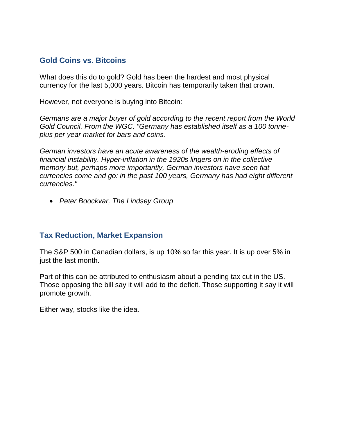# **Gold Coins vs. Bitcoins**

What does this do to gold? Gold has been the hardest and most physical currency for the last 5,000 years. Bitcoin has temporarily taken that crown.

However, not everyone is buying into Bitcoin:

*Germans are a major buyer of gold according to the recent report from the World Gold Council. From the WGC, "Germany has established itself as a 100 tonneplus per year market for bars and coins.*

*German investors have an acute awareness of the wealth-eroding effects of financial instability. Hyper-inflation in the 1920s lingers on in the collective memory but, perhaps more importantly, German investors have seen fiat currencies come and go: in the past 100 years, Germany has had eight different currencies."*

*Peter Boockvar, The Lindsey Group*

# **Tax Reduction, Market Expansion**

The S&P 500 in Canadian dollars, is up 10% so far this year. It is up over 5% in just the last month.

Part of this can be attributed to enthusiasm about a pending tax cut in the US. Those opposing the bill say it will add to the deficit. Those supporting it say it will promote growth.

Either way, stocks like the idea.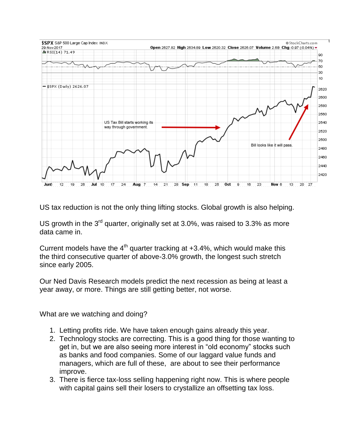

US tax reduction is not the only thing lifting stocks. Global growth is also helping.

US growth in the  $3^{rd}$  quarter, originally set at 3.0%, was raised to 3.3% as more data came in.

Current models have the  $4<sup>th</sup>$  quarter tracking at +3.4%, which would make this the third consecutive quarter of above-3.0% growth, the longest such stretch since early 2005.

Our Ned Davis Research models predict the next recession as being at least a year away, or more. Things are still getting better, not worse.

What are we watching and doing?

- 1. Letting profits ride. We have taken enough gains already this year.
- 2. Technology stocks are correcting. This is a good thing for those wanting to get in, but we are also seeing more interest in "old economy" stocks such as banks and food companies. Some of our laggard value funds and managers, which are full of these, are about to see their performance improve.
- 3. There is fierce tax-loss selling happening right now. This is where people with capital gains sell their losers to crystallize an offsetting tax loss.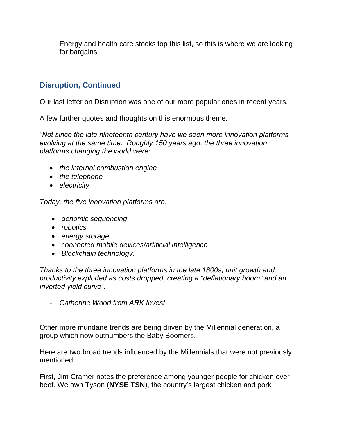Energy and health care stocks top this list, so this is where we are looking for bargains.

# **Disruption, Continued**

Our last letter on Disruption was one of our more popular ones in recent years.

A few further quotes and thoughts on this enormous theme.

*"Not since the late nineteenth century have we seen more innovation platforms evolving at the same time. Roughly 150 years ago, the three innovation platforms changing the world were:* 

- *the internal combustion engine*
- *the telephone*
- *electricity*

*Today, the five innovation platforms are:*

- *genomic sequencing*
- *robotics*
- *energy storage*
- *connected mobile devices/artificial intelligence*
- *Blockchain technology.*

*Thanks to the three innovation platforms in the late 1800s, unit growth and productivity exploded as costs dropped, creating a "deflationary boom" and an inverted yield curve".*

- *Catherine Wood from ARK Invest*

Other more mundane trends are being driven by the Millennial generation, a group which now outnumbers the Baby Boomers.

Here are two broad trends influenced by the Millennials that were not previously mentioned.

First, Jim Cramer notes the preference among younger people for chicken over beef. We own Tyson (**NYSE TSN**), the country's largest chicken and pork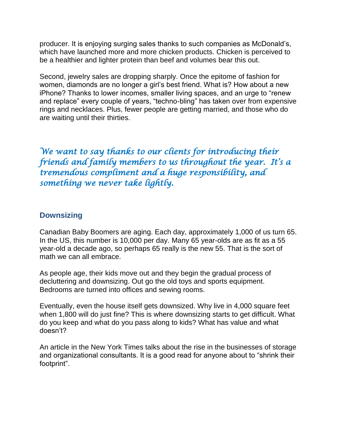producer. It is enjoying surging sales thanks to such companies as McDonald's, which have launched more and more chicken products. Chicken is perceived to be a healthier and lighter protein than beef and volumes bear this out.

Second, jewelry sales are dropping sharply. Once the epitome of fashion for women, diamonds are no longer a girl's best friend. What is? How about a new iPhone? Thanks to lower incomes, smaller living spaces, and an urge to "renew and replace" every couple of years, "techno-bling" has taken over from expensive rings and necklaces. Plus, fewer people are getting married, and those who do are waiting until their thirties.

*We want to say thanks to our clients for introducing their friends and family members to us throughout the year. It's a tremendous compliment and a huge responsibility, and something we never take lightly.*

# **Downsizing**

Canadian Baby Boomers are aging. Each day, approximately 1,000 of us turn 65. In the US, this number is 10,000 per day. Many 65 year-olds are as fit as a 55 year-old a decade ago, so perhaps 65 really is the new 55. That is the sort of math we can all embrace.

As people age, their kids move out and they begin the gradual process of decluttering and downsizing. Out go the old toys and sports equipment. Bedrooms are turned into offices and sewing rooms.

Eventually, even the house itself gets downsized. Why live in 4,000 square feet when 1,800 will do just fine? This is where downsizing starts to get difficult. What do you keep and what do you pass along to kids? What has value and what doesn't?

An article in the New York Times talks about the rise in the businesses of storage and organizational consultants. It is a good read for anyone about to "shrink their footprint".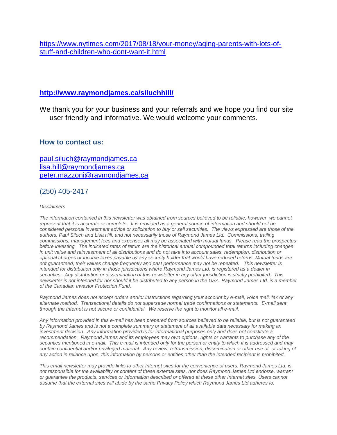[https://www.nytimes.com/2017/08/18/your-money/aging-parents-with-lots-of](https://www.nytimes.com/2017/08/18/your-money/aging-parents-with-lots-of-stuff-and-children-who-dont-want-it.html)[stuff-and-children-who-dont-want-it.html](https://www.nytimes.com/2017/08/18/your-money/aging-parents-with-lots-of-stuff-and-children-who-dont-want-it.html)

### **<http://www.raymondjames.ca/siluchhill/>**

We thank you for your business and your referrals and we hope you find our site user friendly and informative. We would welcome your comments.

#### **How to contact us:**

[paul.siluch@raymondjames.ca](https://owa-kel.raymondjames.ca/owa/redir.aspx?SURL=z0BxOCXDlQ-Aad1f_a9igaARxm5Rd1VXE7UcmD4mZ3IZiacj7DPTCG0AYQBpAGwAdABvADoAcABhAHUAbAAuAHMAaQBsAHUAYwBoAEAAcgBhAHkAbQBvAG4AZABqAGEAbQBlAHMALgBjAGEA&URL=mailto%3apaul.siluch%40raymondjames.ca) [lisa.hill@raymondjames.ca](https://owa-kel.raymondjames.ca/owa/redir.aspx?SURL=glaBgdTdxPMFpiw4eumg-PzZXpo9vJyObrXLs1TKtIAZiacj7DPTCG0AYQBpAGwAdABvADoAbABpAHMAYQAuAGgAaQBsAGwAQAByAGEAeQBtAG8AbgBkAGoAYQBtAGUAcwAuAGMAYQA.&URL=mailto%3alisa.hill%40raymondjames.ca) [peter.mazzoni@raymondjames.ca](https://owa-kel.raymondjames.ca/owa/redir.aspx?SURL=3c7mDL9-cZxYXt7CvkOu20QVFy1WCaDQxUZ3BQE6vecZiacj7DPTCG0AYQBpAGwAdABvADoAcABlAHQAZQByAC4AbQBhAHoAegBvAG4AaQBAAHIAYQB5AG0AbwBuAGQAagBhAG0AZQBzAC4AYwBhAA..&URL=mailto%3apeter.mazzoni%40raymondjames.ca)

# (250) 405-2417

#### *Disclaimers*

The information contained in this newsletter was obtained from sources believed to be reliable, however, we cannot *represent that it is accurate or complete. [It is provided as a general source of information and should not be](https://owa-kel.raymondjames.ca/owa/redir.aspx?SURL=z0BxOCXDlQ-Aad1f_a9igaARxm5Rd1VXE7UcmD4mZ3IZiacj7DPTCG0AYQBpAGwAdABvADoAcABhAHUAbAAuAHMAaQBsAHUAYwBoAEAAcgBhAHkAbQBvAG4AZABqAGEAbQBlAHMALgBjAGEA&URL=mailto%3apaul.siluch%40raymondjames.ca)  [considered personal investment advice or solicitation to buy or sell securities.](https://owa-kel.raymondjames.ca/owa/redir.aspx?SURL=z0BxOCXDlQ-Aad1f_a9igaARxm5Rd1VXE7UcmD4mZ3IZiacj7DPTCG0AYQBpAGwAdABvADoAcABhAHUAbAAuAHMAaQBsAHUAYwBoAEAAcgBhAHkAbQBvAG4AZABqAGEAbQBlAHMALgBjAGEA&URL=mailto%3apaul.siluch%40raymondjames.ca) The views expressed are those of the [authors, Paul Siluch and Lisa Hill, and not necessarily those of Raymond James Ltd.](https://owa-kel.raymondjames.ca/owa/redir.aspx?SURL=z0BxOCXDlQ-Aad1f_a9igaARxm5Rd1VXE7UcmD4mZ3IZiacj7DPTCG0AYQBpAGwAdABvADoAcABhAHUAbAAuAHMAaQBsAHUAYwBoAEAAcgBhAHkAbQBvAG4AZABqAGEAbQBlAHMALgBjAGEA&URL=mailto%3apaul.siluch%40raymondjames.ca) Commissions, trailing [commissions, management fees and expenses all may be associated with mutual funds.](https://owa-kel.raymondjames.ca/owa/redir.aspx?SURL=z0BxOCXDlQ-Aad1f_a9igaARxm5Rd1VXE7UcmD4mZ3IZiacj7DPTCG0AYQBpAGwAdABvADoAcABhAHUAbAAuAHMAaQBsAHUAYwBoAEAAcgBhAHkAbQBvAG4AZABqAGEAbQBlAHMALgBjAGEA&URL=mailto%3apaul.siluch%40raymondjames.ca) Please read the prospectus before investing. [The indicated rates of return are the historical annual compounded total returns including changes](https://owa-kel.raymondjames.ca/owa/redir.aspx?SURL=z0BxOCXDlQ-Aad1f_a9igaARxm5Rd1VXE7UcmD4mZ3IZiacj7DPTCG0AYQBpAGwAdABvADoAcABhAHUAbAAuAHMAaQBsAHUAYwBoAEAAcgBhAHkAbQBvAG4AZABqAGEAbQBlAHMALgBjAGEA&URL=mailto%3apaul.siluch%40raymondjames.ca)  [in unit value and reinvestment of all distributions and do not take into account sales, redemption, distribution or](https://owa-kel.raymondjames.ca/owa/redir.aspx?SURL=z0BxOCXDlQ-Aad1f_a9igaARxm5Rd1VXE7UcmD4mZ3IZiacj7DPTCG0AYQBpAGwAdABvADoAcABhAHUAbAAuAHMAaQBsAHUAYwBoAEAAcgBhAHkAbQBvAG4AZABqAGEAbQBlAHMALgBjAGEA&URL=mailto%3apaul.siluch%40raymondjames.ca)  [optional charges or income taxes payable by any security holder that would have reduced returns. Mutual funds are](https://owa-kel.raymondjames.ca/owa/redir.aspx?SURL=z0BxOCXDlQ-Aad1f_a9igaARxm5Rd1VXE7UcmD4mZ3IZiacj7DPTCG0AYQBpAGwAdABvADoAcABhAHUAbAAuAHMAaQBsAHUAYwBoAEAAcgBhAHkAbQBvAG4AZABqAGEAbQBlAHMALgBjAGEA&URL=mailto%3apaul.siluch%40raymondjames.ca)  not guaranteed, [their values change frequently and past performance may not be repeated.](https://owa-kel.raymondjames.ca/owa/redir.aspx?SURL=z0BxOCXDlQ-Aad1f_a9igaARxm5Rd1VXE7UcmD4mZ3IZiacj7DPTCG0AYQBpAGwAdABvADoAcABhAHUAbAAuAHMAaQBsAHUAYwBoAEAAcgBhAHkAbQBvAG4AZABqAGEAbQBlAHMALgBjAGEA&URL=mailto%3apaul.siluch%40raymondjames.ca) This newsletter is [intended for distribution only in those jurisdictions where Raymond James Ltd. is registered as a dealer in](https://owa-kel.raymondjames.ca/owa/redir.aspx?SURL=z0BxOCXDlQ-Aad1f_a9igaARxm5Rd1VXE7UcmD4mZ3IZiacj7DPTCG0AYQBpAGwAdABvADoAcABhAHUAbAAuAHMAaQBsAHUAYwBoAEAAcgBhAHkAbQBvAG4AZABqAGEAbQBlAHMALgBjAGEA&URL=mailto%3apaul.siluch%40raymondjames.ca)  securities. [Any distribution or dissemination of this newsletter in any other jurisdiction is strictly prohibited.](https://owa-kel.raymondjames.ca/owa/redir.aspx?SURL=z0BxOCXDlQ-Aad1f_a9igaARxm5Rd1VXE7UcmD4mZ3IZiacj7DPTCG0AYQBpAGwAdABvADoAcABhAHUAbAAuAHMAaQBsAHUAYwBoAEAAcgBhAHkAbQBvAG4AZABqAGEAbQBlAHMALgBjAGEA&URL=mailto%3apaul.siluch%40raymondjames.ca) This [newsletter is not intended for nor should it be distributed to any person in the USA. Raymond James Ltd. is a member](https://owa-kel.raymondjames.ca/owa/redir.aspx?SURL=z0BxOCXDlQ-Aad1f_a9igaARxm5Rd1VXE7UcmD4mZ3IZiacj7DPTCG0AYQBpAGwAdABvADoAcABhAHUAbAAuAHMAaQBsAHUAYwBoAEAAcgBhAHkAbQBvAG4AZABqAGEAbQBlAHMALgBjAGEA&URL=mailto%3apaul.siluch%40raymondjames.ca)  [of the Canadian Investor Protection Fund.](https://owa-kel.raymondjames.ca/owa/redir.aspx?SURL=z0BxOCXDlQ-Aad1f_a9igaARxm5Rd1VXE7UcmD4mZ3IZiacj7DPTCG0AYQBpAGwAdABvADoAcABhAHUAbAAuAHMAaQBsAHUAYwBoAEAAcgBhAHkAbQBvAG4AZABqAGEAbQBlAHMALgBjAGEA&URL=mailto%3apaul.siluch%40raymondjames.ca)* 

*Raymond James [does not accept orders and/or instructions regarding your account by e-mail, voice mail, fax or any](https://owa-kel.raymondjames.ca/owa/redir.aspx?SURL=z0BxOCXDlQ-Aad1f_a9igaARxm5Rd1VXE7UcmD4mZ3IZiacj7DPTCG0AYQBpAGwAdABvADoAcABhAHUAbAAuAHMAaQBsAHUAYwBoAEAAcgBhAHkAbQBvAG4AZABqAGEAbQBlAHMALgBjAGEA&URL=mailto%3apaul.siluch%40raymondjames.ca)  alternate method. [Transactional details do not supersede normal trade confirmations or statements.](https://owa-kel.raymondjames.ca/owa/redir.aspx?SURL=z0BxOCXDlQ-Aad1f_a9igaARxm5Rd1VXE7UcmD4mZ3IZiacj7DPTCG0AYQBpAGwAdABvADoAcABhAHUAbAAuAHMAaQBsAHUAYwBoAEAAcgBhAHkAbQBvAG4AZABqAGEAbQBlAHMALgBjAGEA&URL=mailto%3apaul.siluch%40raymondjames.ca) E-mail sent [through the Internet is not secure or confidential.](https://owa-kel.raymondjames.ca/owa/redir.aspx?SURL=z0BxOCXDlQ-Aad1f_a9igaARxm5Rd1VXE7UcmD4mZ3IZiacj7DPTCG0AYQBpAGwAdABvADoAcABhAHUAbAAuAHMAaQBsAHUAYwBoAEAAcgBhAHkAbQBvAG4AZABqAGEAbQBlAHMALgBjAGEA&URL=mailto%3apaul.siluch%40raymondjames.ca) We reserve the right to monitor all e-mail.*

*[Any information provided in this e-mail has been prepared from sources believed to be reliable, but is not guaranteed](https://owa-kel.raymondjames.ca/owa/redir.aspx?SURL=z0BxOCXDlQ-Aad1f_a9igaARxm5Rd1VXE7UcmD4mZ3IZiacj7DPTCG0AYQBpAGwAdABvADoAcABhAHUAbAAuAHMAaQBsAHUAYwBoAEAAcgBhAHkAbQBvAG4AZABqAGEAbQBlAHMALgBjAGEA&URL=mailto%3apaul.siluch%40raymondjames.ca)  by Raymond James [and is not a complete summary or statement of all available data necessary for making an](https://owa-kel.raymondjames.ca/owa/redir.aspx?SURL=z0BxOCXDlQ-Aad1f_a9igaARxm5Rd1VXE7UcmD4mZ3IZiacj7DPTCG0AYQBpAGwAdABvADoAcABhAHUAbAAuAHMAaQBsAHUAYwBoAEAAcgBhAHkAbQBvAG4AZABqAGEAbQBlAHMALgBjAGEA&URL=mailto%3apaul.siluch%40raymondjames.ca)  investment decision. [Any information provided is for informational purposes only and does not constitute a](https://owa-kel.raymondjames.ca/owa/redir.aspx?SURL=z0BxOCXDlQ-Aad1f_a9igaARxm5Rd1VXE7UcmD4mZ3IZiacj7DPTCG0AYQBpAGwAdABvADoAcABhAHUAbAAuAHMAaQBsAHUAYwBoAEAAcgBhAHkAbQBvAG4AZABqAGEAbQBlAHMALgBjAGEA&URL=mailto%3apaul.siluch%40raymondjames.ca)  recommendation. Raymond James [and its employees may own options, rights or warrants to purchase any of the](https://owa-kel.raymondjames.ca/owa/redir.aspx?SURL=z0BxOCXDlQ-Aad1f_a9igaARxm5Rd1VXE7UcmD4mZ3IZiacj7DPTCG0AYQBpAGwAdABvADoAcABhAHUAbAAuAHMAaQBsAHUAYwBoAEAAcgBhAHkAbQBvAG4AZABqAGEAbQBlAHMALgBjAGEA&URL=mailto%3apaul.siluch%40raymondjames.ca)  securities mentioned in e-mail. [This e-mail is intended only for the person or entity to which it is addressed and may](https://owa-kel.raymondjames.ca/owa/redir.aspx?SURL=z0BxOCXDlQ-Aad1f_a9igaARxm5Rd1VXE7UcmD4mZ3IZiacj7DPTCG0AYQBpAGwAdABvADoAcABhAHUAbAAuAHMAaQBsAHUAYwBoAEAAcgBhAHkAbQBvAG4AZABqAGEAbQBlAHMALgBjAGEA&URL=mailto%3apaul.siluch%40raymondjames.ca)  contain confidential and/or privileged material. [Any review, retransmission, dissemination or other use of, or taking of](https://owa-kel.raymondjames.ca/owa/redir.aspx?SURL=z0BxOCXDlQ-Aad1f_a9igaARxm5Rd1VXE7UcmD4mZ3IZiacj7DPTCG0AYQBpAGwAdABvADoAcABhAHUAbAAuAHMAaQBsAHUAYwBoAEAAcgBhAHkAbQBvAG4AZABqAGEAbQBlAHMALgBjAGEA&URL=mailto%3apaul.siluch%40raymondjames.ca)  [any action in reliance upon, this information by persons or entities other than the intended recipient is prohibited.](https://owa-kel.raymondjames.ca/owa/redir.aspx?SURL=z0BxOCXDlQ-Aad1f_a9igaARxm5Rd1VXE7UcmD4mZ3IZiacj7DPTCG0AYQBpAGwAdABvADoAcABhAHUAbAAuAHMAaQBsAHUAYwBoAEAAcgBhAHkAbQBvAG4AZABqAGEAbQBlAHMALgBjAGEA&URL=mailto%3apaul.siluch%40raymondjames.ca)*

*This email newsletter may provide links to other Internet sites for the convenience of users. Raymond James Ltd. is not responsible for the availability or content of these external sites, nor does Raymond James Ltd endorse, warrant or guarantee the products, services or information described or offered at these other Internet sites. Users cannot assume that the external sites will abide by the same Privacy Policy which Raymond James Ltd adheres to.*